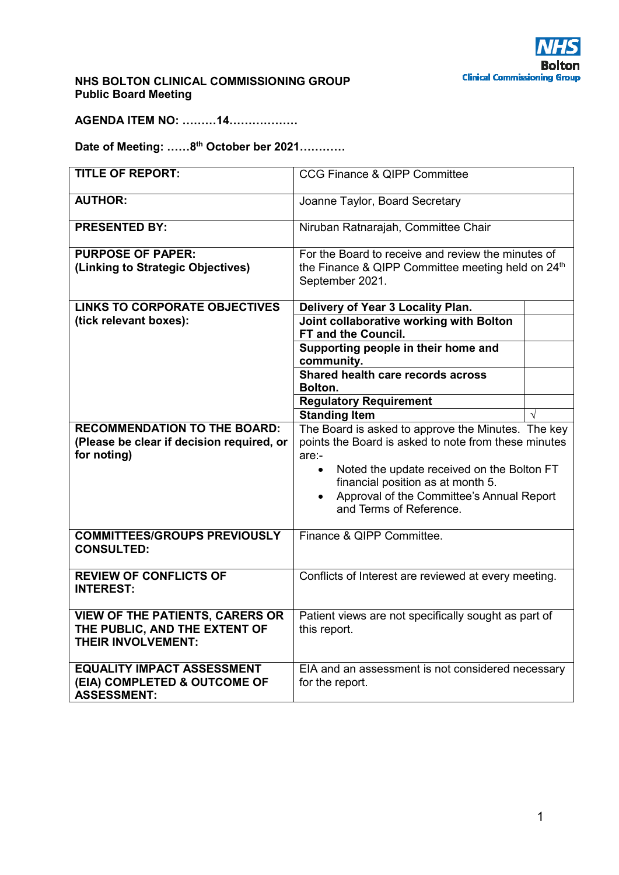

## **NHS BOLTON CLINICAL COMMISSIONING GROUP Public Board Meeting**

**AGENDA ITEM NO: ………14………………** 

**Date of Meeting: ……8th October ber 2021…………** 

| <b>TITLE OF REPORT:</b>                                                                              | CCG Finance & QIPP Committee                                                                                                                           |  |
|------------------------------------------------------------------------------------------------------|--------------------------------------------------------------------------------------------------------------------------------------------------------|--|
| <b>AUTHOR:</b>                                                                                       | Joanne Taylor, Board Secretary                                                                                                                         |  |
| <b>PRESENTED BY:</b>                                                                                 | Niruban Ratnarajah, Committee Chair                                                                                                                    |  |
| <b>PURPOSE OF PAPER:</b>                                                                             | For the Board to receive and review the minutes of                                                                                                     |  |
| (Linking to Strategic Objectives)                                                                    | the Finance & QIPP Committee meeting held on 24 <sup>th</sup><br>September 2021.                                                                       |  |
| <b>LINKS TO CORPORATE OBJECTIVES</b>                                                                 | Delivery of Year 3 Locality Plan.                                                                                                                      |  |
| (tick relevant boxes):                                                                               | Joint collaborative working with Bolton<br>FT and the Council.                                                                                         |  |
|                                                                                                      | Supporting people in their home and<br>community.                                                                                                      |  |
|                                                                                                      | Shared health care records across<br>Bolton.                                                                                                           |  |
|                                                                                                      | <b>Regulatory Requirement</b>                                                                                                                          |  |
|                                                                                                      | <b>Standing Item</b>                                                                                                                                   |  |
| <b>RECOMMENDATION TO THE BOARD:</b><br>(Please be clear if decision required, or<br>for noting)      | The Board is asked to approve the Minutes. The key<br>points the Board is asked to note from these minutes<br>$are:$ -                                 |  |
|                                                                                                      | Noted the update received on the Bolton FT<br>$\bullet$<br>financial position as at month 5.<br>Approval of the Committee's Annual Report<br>$\bullet$ |  |
|                                                                                                      | and Terms of Reference.                                                                                                                                |  |
| <b>COMMITTEES/GROUPS PREVIOUSLY</b><br><b>CONSULTED:</b>                                             | Finance & QIPP Committee.                                                                                                                              |  |
| <b>REVIEW OF CONFLICTS OF</b><br><b>INTEREST:</b>                                                    | Conflicts of Interest are reviewed at every meeting.                                                                                                   |  |
| <b>VIEW OF THE PATIENTS, CARERS OR</b><br>THE PUBLIC, AND THE EXTENT OF<br><b>THEIR INVOLVEMENT:</b> | Patient views are not specifically sought as part of<br>this report.                                                                                   |  |
| <b>EQUALITY IMPACT ASSESSMENT</b><br>(EIA) COMPLETED & OUTCOME OF<br><b>ASSESSMENT:</b>              | EIA and an assessment is not considered necessary<br>for the report.                                                                                   |  |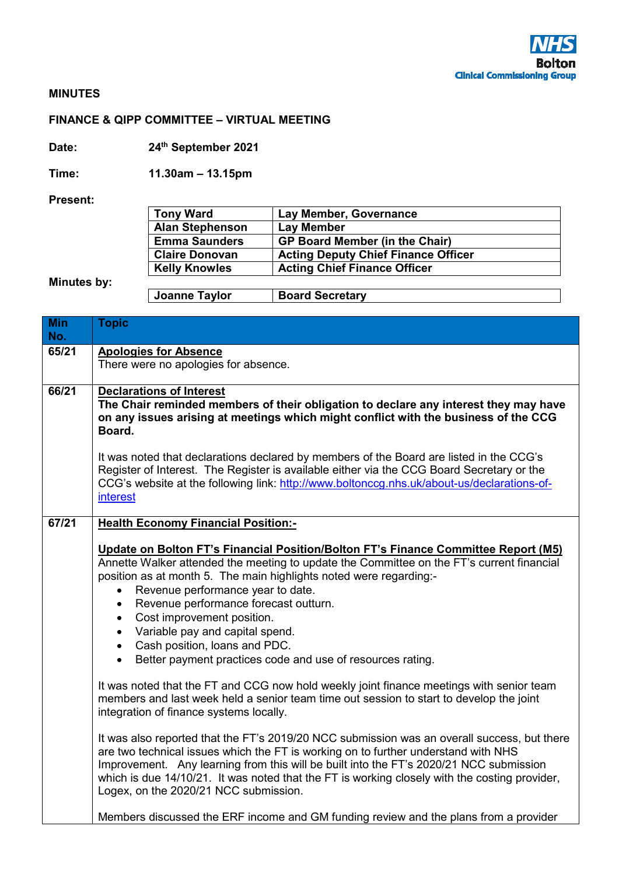

## **MINUTES**

## **FINANCE & QIPP COMMITTEE – VIRTUAL MEETING**

**Date: 24th September 2021** 

**Time: 11.30am – 13.15pm** 

**Present:** 

| <b>Tony Ward</b>       | Lay Member, Governance                     |
|------------------------|--------------------------------------------|
| <b>Alan Stephenson</b> | <b>Lay Member</b>                          |
| <b>Emma Saunders</b>   | <b>GP Board Member (in the Chair)</b>      |
| <b>Claire Donovan</b>  | <b>Acting Deputy Chief Finance Officer</b> |
| <b>Kelly Knowles</b>   | <b>Acting Chief Finance Officer</b>        |
|                        |                                            |
| <b>Joanne Taylor</b>   | <b>Board Secretary</b>                     |

**Minutes by:** 

| <b>Min</b><br>No. | <b>Topic</b>                                                                                                                                                                                                                                                                                                                                                                                                                                                                                                                                                                                                                                                                                                                                                                                                                                                                                                                                                                                                                                                                                                                                                                             |
|-------------------|------------------------------------------------------------------------------------------------------------------------------------------------------------------------------------------------------------------------------------------------------------------------------------------------------------------------------------------------------------------------------------------------------------------------------------------------------------------------------------------------------------------------------------------------------------------------------------------------------------------------------------------------------------------------------------------------------------------------------------------------------------------------------------------------------------------------------------------------------------------------------------------------------------------------------------------------------------------------------------------------------------------------------------------------------------------------------------------------------------------------------------------------------------------------------------------|
| 65/21             | <b>Apologies for Absence</b>                                                                                                                                                                                                                                                                                                                                                                                                                                                                                                                                                                                                                                                                                                                                                                                                                                                                                                                                                                                                                                                                                                                                                             |
|                   | There were no apologies for absence.                                                                                                                                                                                                                                                                                                                                                                                                                                                                                                                                                                                                                                                                                                                                                                                                                                                                                                                                                                                                                                                                                                                                                     |
| 66/21             | <b>Declarations of Interest</b><br>The Chair reminded members of their obligation to declare any interest they may have<br>on any issues arising at meetings which might conflict with the business of the CCG<br>Board.<br>It was noted that declarations declared by members of the Board are listed in the CCG's                                                                                                                                                                                                                                                                                                                                                                                                                                                                                                                                                                                                                                                                                                                                                                                                                                                                      |
|                   | Register of Interest. The Register is available either via the CCG Board Secretary or the<br>CCG's website at the following link: http://www.boltonccg.nhs.uk/about-us/declarations-of-<br>interest                                                                                                                                                                                                                                                                                                                                                                                                                                                                                                                                                                                                                                                                                                                                                                                                                                                                                                                                                                                      |
| 67/21             | <b>Health Economy Financial Position:-</b>                                                                                                                                                                                                                                                                                                                                                                                                                                                                                                                                                                                                                                                                                                                                                                                                                                                                                                                                                                                                                                                                                                                                               |
|                   | Update on Bolton FT's Financial Position/Bolton FT's Finance Committee Report (M5)<br>Annette Walker attended the meeting to update the Committee on the FT's current financial<br>position as at month 5. The main highlights noted were regarding:-<br>Revenue performance year to date.<br>$\bullet$<br>Revenue performance forecast outturn.<br>$\bullet$<br>Cost improvement position.<br>$\bullet$<br>Variable pay and capital spend.<br>$\bullet$<br>• Cash position, loans and PDC.<br>Better payment practices code and use of resources rating.<br>$\bullet$<br>It was noted that the FT and CCG now hold weekly joint finance meetings with senior team<br>members and last week held a senior team time out session to start to develop the joint<br>integration of finance systems locally.<br>It was also reported that the FT's 2019/20 NCC submission was an overall success, but there<br>are two technical issues which the FT is working on to further understand with NHS<br>Improvement. Any learning from this will be built into the FT's 2020/21 NCC submission<br>which is due 14/10/21. It was noted that the FT is working closely with the costing provider, |
|                   | Logex, on the 2020/21 NCC submission.<br>Members discussed the ERF income and GM funding review and the plans from a provider                                                                                                                                                                                                                                                                                                                                                                                                                                                                                                                                                                                                                                                                                                                                                                                                                                                                                                                                                                                                                                                            |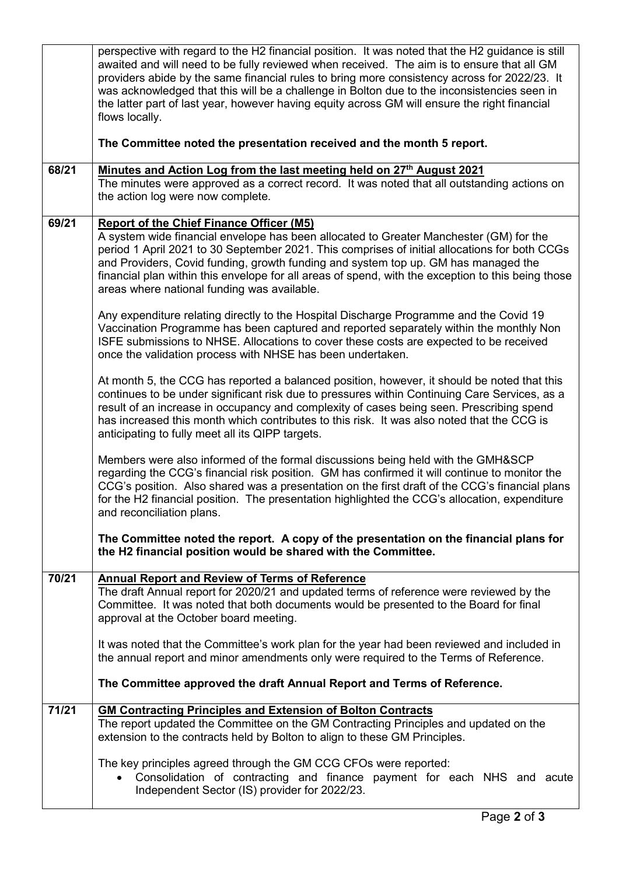|       | perspective with regard to the H2 financial position. It was noted that the H2 guidance is still<br>awaited and will need to be fully reviewed when received. The aim is to ensure that all GM<br>providers abide by the same financial rules to bring more consistency across for 2022/23. It<br>was acknowledged that this will be a challenge in Bolton due to the inconsistencies seen in<br>the latter part of last year, however having equity across GM will ensure the right financial<br>flows locally. |
|-------|------------------------------------------------------------------------------------------------------------------------------------------------------------------------------------------------------------------------------------------------------------------------------------------------------------------------------------------------------------------------------------------------------------------------------------------------------------------------------------------------------------------|
|       | The Committee noted the presentation received and the month 5 report.                                                                                                                                                                                                                                                                                                                                                                                                                                            |
| 68/21 | Minutes and Action Log from the last meeting held on 27 <sup>th</sup> August 2021<br>The minutes were approved as a correct record. It was noted that all outstanding actions on<br>the action log were now complete.                                                                                                                                                                                                                                                                                            |
| 69/21 | <b>Report of the Chief Finance Officer (M5)</b><br>A system wide financial envelope has been allocated to Greater Manchester (GM) for the<br>period 1 April 2021 to 30 September 2021. This comprises of initial allocations for both CCGs<br>and Providers, Covid funding, growth funding and system top up. GM has managed the<br>financial plan within this envelope for all areas of spend, with the exception to this being those<br>areas where national funding was available.                            |
|       | Any expenditure relating directly to the Hospital Discharge Programme and the Covid 19<br>Vaccination Programme has been captured and reported separately within the monthly Non<br>ISFE submissions to NHSE. Allocations to cover these costs are expected to be received<br>once the validation process with NHSE has been undertaken.                                                                                                                                                                         |
|       | At month 5, the CCG has reported a balanced position, however, it should be noted that this<br>continues to be under significant risk due to pressures within Continuing Care Services, as a<br>result of an increase in occupancy and complexity of cases being seen. Prescribing spend<br>has increased this month which contributes to this risk. It was also noted that the CCG is<br>anticipating to fully meet all its QIPP targets.                                                                       |
|       | Members were also informed of the formal discussions being held with the GMH&SCP<br>regarding the CCG's financial risk position. GM has confirmed it will continue to monitor the<br>CCG's position. Also shared was a presentation on the first draft of the CCG's financial plans<br>for the H2 financial position. The presentation highlighted the CCG's allocation, expenditure<br>and reconciliation plans.                                                                                                |
|       | The Committee noted the report. A copy of the presentation on the financial plans for<br>the H2 financial position would be shared with the Committee.                                                                                                                                                                                                                                                                                                                                                           |
| 70/21 | <b>Annual Report and Review of Terms of Reference</b><br>The draft Annual report for 2020/21 and updated terms of reference were reviewed by the<br>Committee. It was noted that both documents would be presented to the Board for final<br>approval at the October board meeting.                                                                                                                                                                                                                              |
|       | It was noted that the Committee's work plan for the year had been reviewed and included in<br>the annual report and minor amendments only were required to the Terms of Reference.                                                                                                                                                                                                                                                                                                                               |
|       | The Committee approved the draft Annual Report and Terms of Reference.                                                                                                                                                                                                                                                                                                                                                                                                                                           |
| 71/21 | <b>GM Contracting Principles and Extension of Bolton Contracts</b><br>The report updated the Committee on the GM Contracting Principles and updated on the<br>extension to the contracts held by Bolton to align to these GM Principles.                                                                                                                                                                                                                                                                         |
|       | The key principles agreed through the GM CCG CFOs were reported:<br>Consolidation of contracting and finance payment for each NHS and acute<br>Independent Sector (IS) provider for 2022/23.                                                                                                                                                                                                                                                                                                                     |